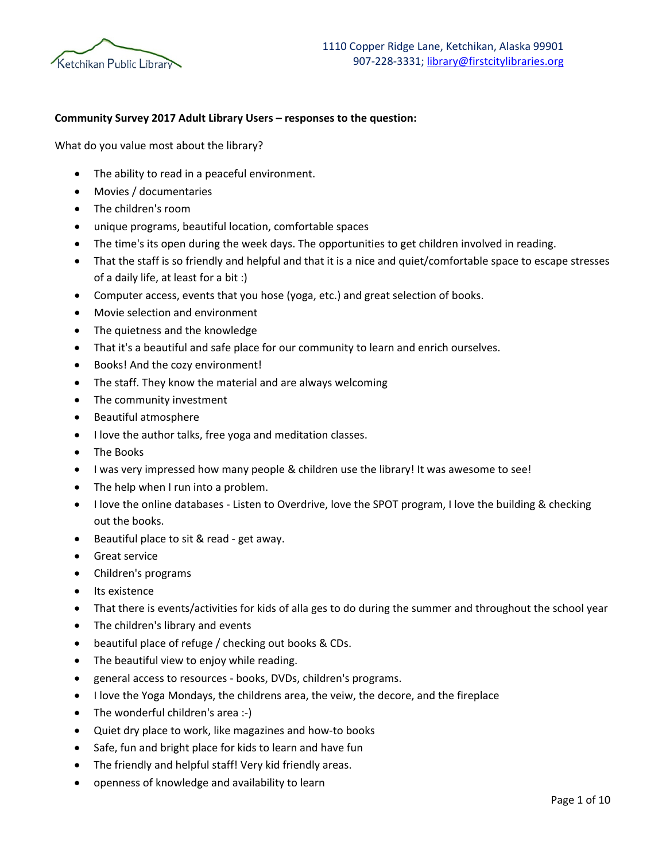

## **Community Survey 2017 Adult Library Users – responses to the question:**

What do you value most about the library?

- The ability to read in a peaceful environment.
- Movies / documentaries
- The children's room
- unique programs, beautiful location, comfortable spaces
- The time's its open during the week days. The opportunities to get children involved in reading.
- That the staff is so friendly and helpful and that it is a nice and quiet/comfortable space to escape stresses of a daily life, at least for a bit :)
- Computer access, events that you hose (yoga, etc.) and great selection of books.
- Movie selection and environment
- The quietness and the knowledge
- That it's a beautiful and safe place for our community to learn and enrich ourselves.
- Books! And the cozy environment!
- The staff. They know the material and are always welcoming
- The community investment
- Beautiful atmosphere
- I love the author talks, free yoga and meditation classes.
- The Books
- I was very impressed how many people & children use the library! It was awesome to see!
- The help when I run into a problem.
- I love the online databases Listen to Overdrive, love the SPOT program, I love the building & checking out the books.
- Beautiful place to sit & read get away.
- Great service
- Children's programs
- Its existence
- That there is events/activities for kids of alla ges to do during the summer and throughout the school year
- The children's library and events
- beautiful place of refuge / checking out books & CDs.
- The beautiful view to enjoy while reading.
- general access to resources books, DVDs, children's programs.
- I love the Yoga Mondays, the childrens area, the veiw, the decore, and the fireplace
- The wonderful children's area :-)
- Quiet dry place to work, like magazines and how-to books
- Safe, fun and bright place for kids to learn and have fun
- The friendly and helpful staff! Very kid friendly areas.
- openness of knowledge and availability to learn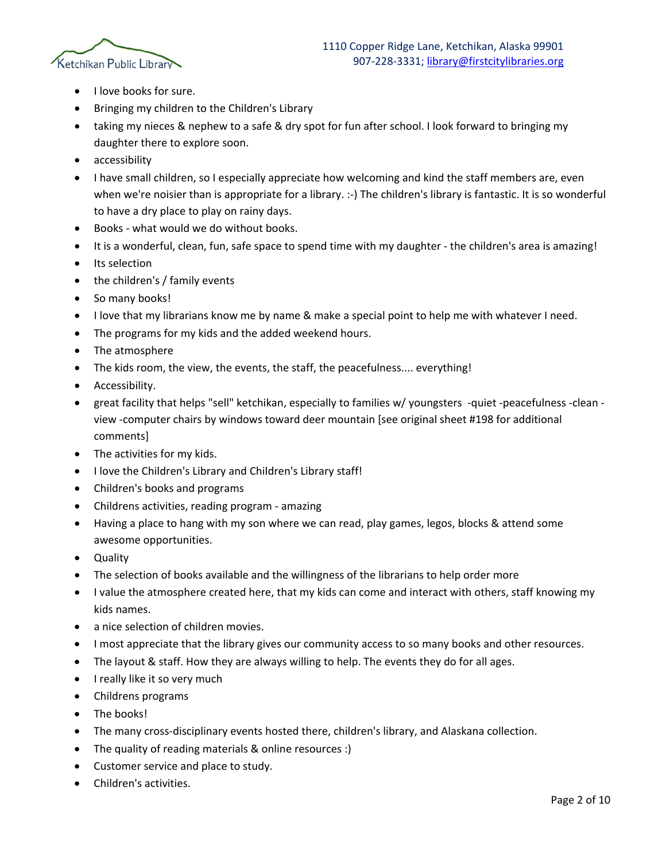

- I love books for sure.
- Bringing my children to the Children's Library
- taking my nieces & nephew to a safe & dry spot for fun after school. I look forward to bringing my daughter there to explore soon.
- accessibility
- I have small children, so I especially appreciate how welcoming and kind the staff members are, even when we're noisier than is appropriate for a library. :-) The children's library is fantastic. It is so wonderful to have a dry place to play on rainy days.
- Books what would we do without books.
- It is a wonderful, clean, fun, safe space to spend time with my daughter the children's area is amazing!
- Its selection
- the children's / family events
- So many books!
- I love that my librarians know me by name & make a special point to help me with whatever I need.
- The programs for my kids and the added weekend hours.
- The atmosphere
- The kids room, the view, the events, the staff, the peacefulness.... everything!
- Accessibility.
- great facility that helps "sell" ketchikan, especially to families w/ youngsters -quiet -peacefulness -clean view -computer chairs by windows toward deer mountain [see original sheet #198 for additional comments]
- The activities for my kids.
- I love the Children's Library and Children's Library staff!
- Children's books and programs
- Childrens activities, reading program amazing
- Having a place to hang with my son where we can read, play games, legos, blocks & attend some awesome opportunities.
- Quality
- The selection of books available and the willingness of the librarians to help order more
- I value the atmosphere created here, that my kids can come and interact with others, staff knowing my kids names.
- a nice selection of children movies.
- I most appreciate that the library gives our community access to so many books and other resources.
- The layout & staff. How they are always willing to help. The events they do for all ages.
- I really like it so very much
- Childrens programs
- The books!
- The many cross-disciplinary events hosted there, children's library, and Alaskana collection.
- The quality of reading materials & online resources :)
- Customer service and place to study.
- Children's activities.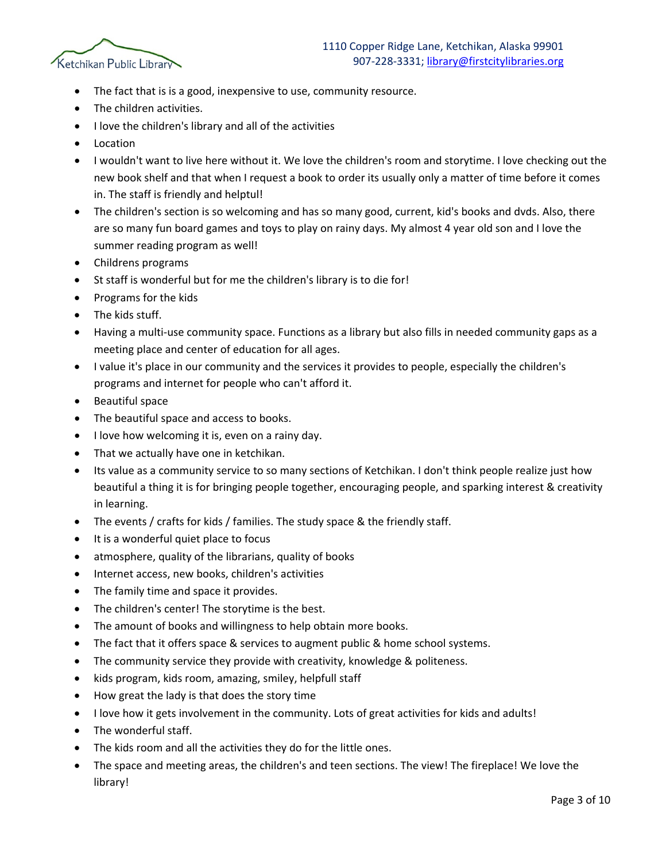

- The fact that is is a good, inexpensive to use, community resource.
- The children activities.
- I love the children's library and all of the activities
- **Location**
- I wouldn't want to live here without it. We love the children's room and storytime. I love checking out the new book shelf and that when I request a book to order its usually only a matter of time before it comes in. The staff is friendly and helptul!
- The children's section is so welcoming and has so many good, current, kid's books and dyds. Also, there are so many fun board games and toys to play on rainy days. My almost 4 year old son and I love the summer reading program as well!
- Childrens programs
- St staff is wonderful but for me the children's library is to die for!
- Programs for the kids
- The kids stuff.
- Having a multi-use community space. Functions as a library but also fills in needed community gaps as a meeting place and center of education for all ages.
- I value it's place in our community and the services it provides to people, especially the children's programs and internet for people who can't afford it.
- Beautiful space
- The beautiful space and access to books.
- I love how welcoming it is, even on a rainy day.
- That we actually have one in ketchikan.
- Its value as a community service to so many sections of Ketchikan. I don't think people realize just how beautiful a thing it is for bringing people together, encouraging people, and sparking interest & creativity in learning.
- The events / crafts for kids / families. The study space & the friendly staff.
- It is a wonderful quiet place to focus
- atmosphere, quality of the librarians, quality of books
- Internet access, new books, children's activities
- The family time and space it provides.
- The children's center! The storytime is the best.
- The amount of books and willingness to help obtain more books.
- The fact that it offers space & services to augment public & home school systems.
- The community service they provide with creativity, knowledge & politeness.
- kids program, kids room, amazing, smiley, helpfull staff
- How great the lady is that does the story time
- I love how it gets involvement in the community. Lots of great activities for kids and adults!
- The wonderful staff.
- The kids room and all the activities they do for the little ones.
- The space and meeting areas, the children's and teen sections. The view! The fireplace! We love the library!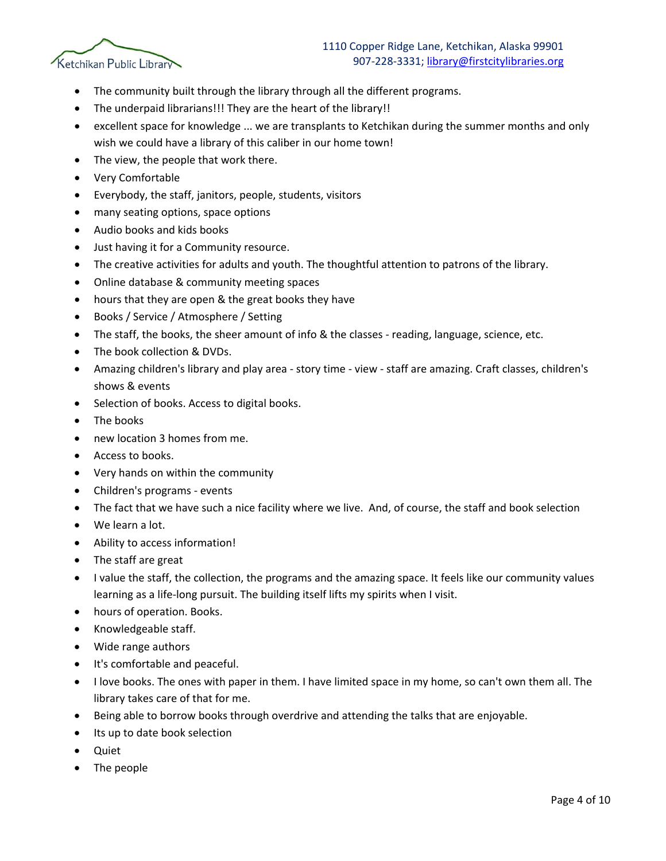

- The community built through the library through all the different programs.
- The underpaid librarians!!! They are the heart of the library!!
- excellent space for knowledge ... we are transplants to Ketchikan during the summer months and only wish we could have a library of this caliber in our home town!
- The view, the people that work there.
- Very Comfortable
- Everybody, the staff, janitors, people, students, visitors
- many seating options, space options
- Audio books and kids books
- Just having it for a Community resource.
- The creative activities for adults and youth. The thoughtful attention to patrons of the library.
- Online database & community meeting spaces
- hours that they are open & the great books they have
- Books / Service / Atmosphere / Setting
- The staff, the books, the sheer amount of info & the classes reading, language, science, etc.
- The book collection & DVDs.
- Amazing children's library and play area story time view staff are amazing. Craft classes, children's shows & events
- Selection of books. Access to digital books.
- The books
- new location 3 homes from me.
- Access to books.
- Very hands on within the community
- Children's programs events
- The fact that we have such a nice facility where we live. And, of course, the staff and book selection
- We learn a lot.
- Ability to access information!
- The staff are great
- I value the staff, the collection, the programs and the amazing space. It feels like our community values learning as a life-long pursuit. The building itself lifts my spirits when I visit.
- hours of operation. Books.
- Knowledgeable staff.
- Wide range authors
- It's comfortable and peaceful.
- I love books. The ones with paper in them. I have limited space in my home, so can't own them all. The library takes care of that for me.
- Being able to borrow books through overdrive and attending the talks that are enjoyable.
- Its up to date book selection
- Quiet
- The people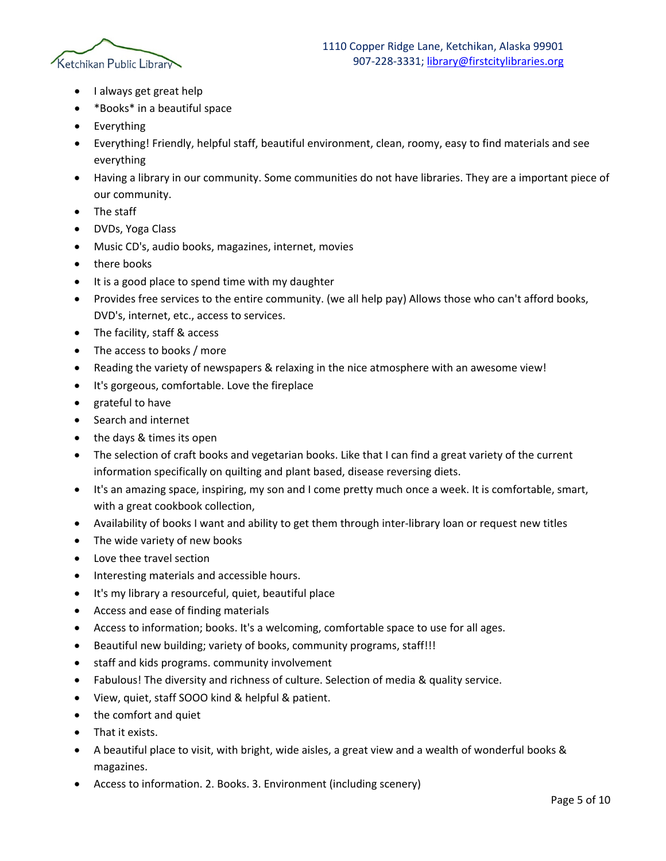

- I always get great help
- \*Books\* in a beautiful space
- Everything
- Everything! Friendly, helpful staff, beautiful environment, clean, roomy, easy to find materials and see everything
- Having a library in our community. Some communities do not have libraries. They are a important piece of our community.
- The staff
- DVDs, Yoga Class
- Music CD's, audio books, magazines, internet, movies
- there books
- It is a good place to spend time with my daughter
- Provides free services to the entire community. (we all help pay) Allows those who can't afford books, DVD's, internet, etc., access to services.
- The facility, staff & access
- The access to books / more
- Reading the variety of newspapers & relaxing in the nice atmosphere with an awesome view!
- It's gorgeous, comfortable. Love the fireplace
- grateful to have
- Search and internet
- the days & times its open
- The selection of craft books and vegetarian books. Like that I can find a great variety of the current information specifically on quilting and plant based, disease reversing diets.
- It's an amazing space, inspiring, my son and I come pretty much once a week. It is comfortable, smart, with a great cookbook collection,
- Availability of books I want and ability to get them through inter-library loan or request new titles
- The wide variety of new books
- Love thee travel section
- Interesting materials and accessible hours.
- It's my library a resourceful, quiet, beautiful place
- Access and ease of finding materials
- Access to information; books. It's a welcoming, comfortable space to use for all ages.
- Beautiful new building; variety of books, community programs, staff!!!
- staff and kids programs. community involvement
- Fabulous! The diversity and richness of culture. Selection of media & quality service.
- View, quiet, staff SOOO kind & helpful & patient.
- the comfort and quiet
- That it exists.
- A beautiful place to visit, with bright, wide aisles, a great view and a wealth of wonderful books & magazines.
- Access to information. 2. Books. 3. Environment (including scenery)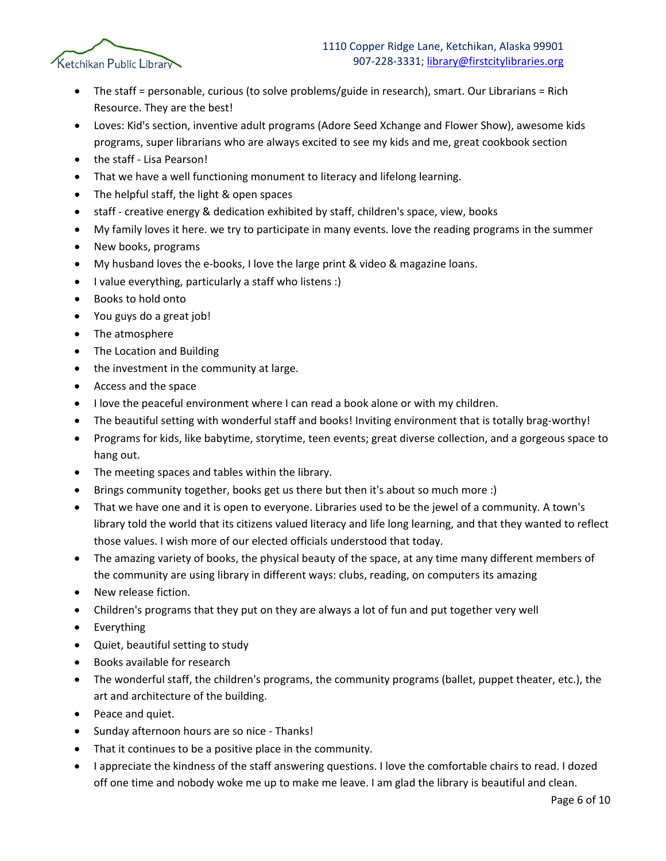

- The staff = personable, curious (to solve problems/guide in research), smart. Our Librarians = Rich Resource. They are the best!
- Loves: Kid's section, inventive adult programs (Adore Seed Xchange and Flower Show), awesome kids programs, super librarians who are always excited to see my kids and me, great cookbook section
- the staff Lisa Pearson!
- That we have a well functioning monument to literacy and lifelong learning.
- The helpful staff, the light & open spaces
- staff creative energy & dedication exhibited by staff, children's space, view, books
- My family loves it here. we try to participate in many events. love the reading programs in the summer
- New books, programs
- My husband loves the e-books, I love the large print & video & magazine loans.
- I value everything, particularly a staff who listens :)
- Books to hold onto
- You guys do a great job!
- The atmosphere
- The Location and Building
- the investment in the community at large.
- Access and the space
- I love the peaceful environment where I can read a book alone or with my children.
- The beautiful setting with wonderful staff and books! Inviting environment that is totally brag-worthy!
- Programs for kids, like babytime, storytime, teen events; great diverse collection, and a gorgeous space to hang out.
- The meeting spaces and tables within the library.
- Brings community together, books get us there but then it's about so much more :)
- That we have one and it is open to everyone. Libraries used to be the jewel of a community. A town's library told the world that its citizens valued literacy and life long learning, and that they wanted to reflect those values. I wish more of our elected officials understood that today.
- The amazing variety of books, the physical beauty of the space, at any time many different members of the community are using library in different ways: clubs, reading, on computers its amazing
- New release fiction.
- Children's programs that they put on they are always a lot of fun and put together very well
- Everything
- Quiet, beautiful setting to study
- Books available for research
- The wonderful staff, the children's programs, the community programs (ballet, puppet theater, etc.), the art and architecture of the building.
- Peace and quiet.
- Sunday afternoon hours are so nice Thanks!
- That it continues to be a positive place in the community.
- I appreciate the kindness of the staff answering questions. I love the comfortable chairs to read. I dozed off one time and nobody woke me up to make me leave. I am glad the library is beautiful and clean.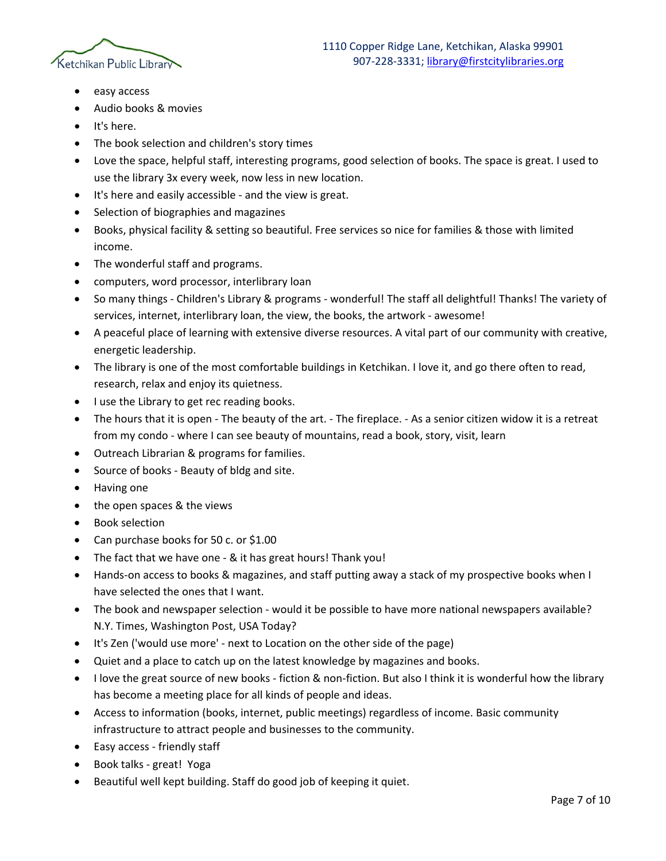

- easy access
- Audio books & movies
- It's here.
- The book selection and children's story times
- Love the space, helpful staff, interesting programs, good selection of books. The space is great. I used to use the library 3x every week, now less in new location.
- It's here and easily accessible and the view is great.
- Selection of biographies and magazines
- Books, physical facility & setting so beautiful. Free services so nice for families & those with limited income.
- The wonderful staff and programs.
- computers, word processor, interlibrary loan
- So many things Children's Library & programs wonderful! The staff all delightful! Thanks! The variety of services, internet, interlibrary loan, the view, the books, the artwork - awesome!
- A peaceful place of learning with extensive diverse resources. A vital part of our community with creative, energetic leadership.
- The library is one of the most comfortable buildings in Ketchikan. I love it, and go there often to read, research, relax and enjoy its quietness.
- I use the Library to get rec reading books.
- The hours that it is open The beauty of the art. The fireplace. As a senior citizen widow it is a retreat from my condo - where I can see beauty of mountains, read a book, story, visit, learn
- Outreach Librarian & programs for families.
- Source of books Beauty of bldg and site.
- Having one
- the open spaces & the views
- Book selection
- Can purchase books for 50 c. or \$1.00
- The fact that we have one & it has great hours! Thank you!
- Hands-on access to books & magazines, and staff putting away a stack of my prospective books when I have selected the ones that I want.
- The book and newspaper selection would it be possible to have more national newspapers available? N.Y. Times, Washington Post, USA Today?
- It's Zen ('would use more' next to Location on the other side of the page)
- Quiet and a place to catch up on the latest knowledge by magazines and books.
- I love the great source of new books fiction & non-fiction. But also I think it is wonderful how the library has become a meeting place for all kinds of people and ideas.
- Access to information (books, internet, public meetings) regardless of income. Basic community infrastructure to attract people and businesses to the community.
- Easy access friendly staff
- Book talks great! Yoga
- Beautiful well kept building. Staff do good job of keeping it quiet.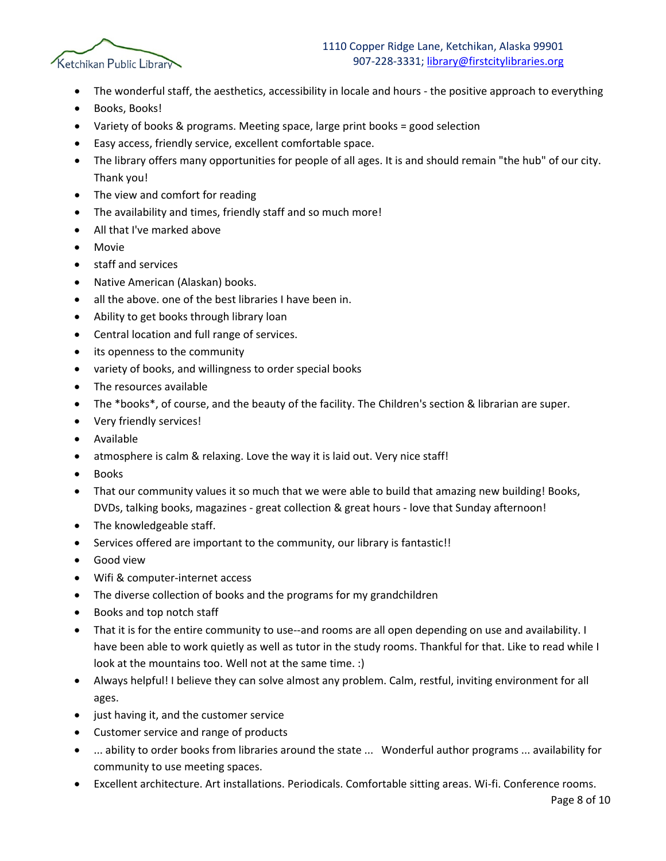

- The wonderful staff, the aesthetics, accessibility in locale and hours the positive approach to everything
- Books, Books!
- Variety of books & programs. Meeting space, large print books = good selection
- Easy access, friendly service, excellent comfortable space.
- The library offers many opportunities for people of all ages. It is and should remain "the hub" of our city. Thank you!
- The view and comfort for reading
- The availability and times, friendly staff and so much more!
- All that I've marked above
- **Movie**
- staff and services
- Native American (Alaskan) books.
- all the above. one of the best libraries I have been in.
- Ability to get books through library loan
- Central location and full range of services.
- its openness to the community
- variety of books, and willingness to order special books
- The resources available
- The \*books\*, of course, and the beauty of the facility. The Children's section & librarian are super.
- Very friendly services!
- Available
- atmosphere is calm & relaxing. Love the way it is laid out. Very nice staff!
- Books
- That our community values it so much that we were able to build that amazing new building! Books, DVDs, talking books, magazines - great collection & great hours - love that Sunday afternoon!
- The knowledgeable staff.
- Services offered are important to the community, our library is fantastic!!
- Good view
- Wifi & computer-internet access
- The diverse collection of books and the programs for my grandchildren
- Books and top notch staff
- That it is for the entire community to use--and rooms are all open depending on use and availability. I have been able to work quietly as well as tutor in the study rooms. Thankful for that. Like to read while I look at the mountains too. Well not at the same time. :)
- Always helpful! I believe they can solve almost any problem. Calm, restful, inviting environment for all ages.
- just having it, and the customer service
- Customer service and range of products
- ... ability to order books from libraries around the state ... Wonderful author programs ... availability for community to use meeting spaces.
- Excellent architecture. Art installations. Periodicals. Comfortable sitting areas. Wi-fi. Conference rooms.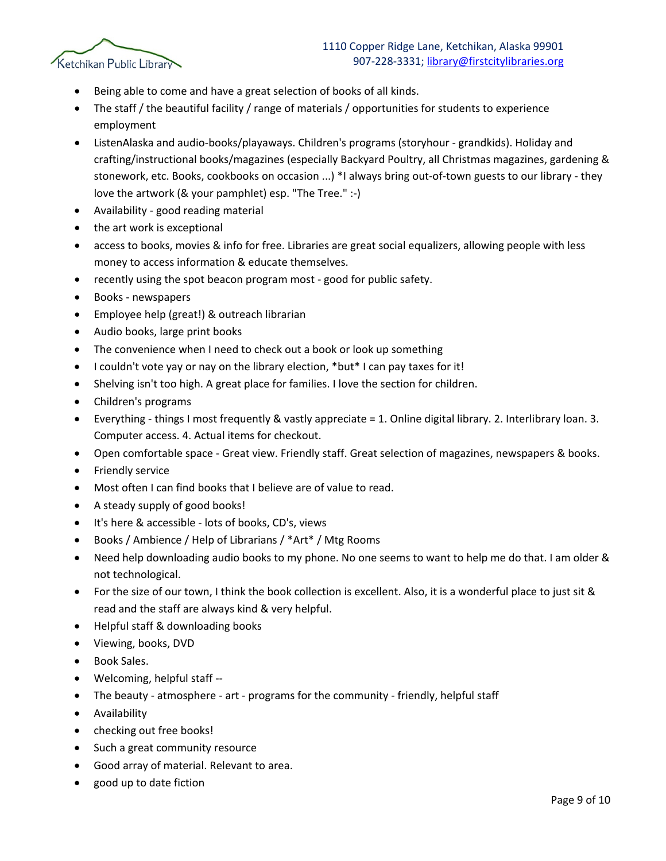

- Being able to come and have a great selection of books of all kinds.
- The staff / the beautiful facility / range of materials / opportunities for students to experience employment
- ListenAlaska and audio-books/playaways. Children's programs (storyhour grandkids). Holiday and crafting/instructional books/magazines (especially Backyard Poultry, all Christmas magazines, gardening & stonework, etc. Books, cookbooks on occasion ...) \*I always bring out-of-town guests to our library - they love the artwork (& your pamphlet) esp. "The Tree." :-)
- Availability good reading material
- the art work is exceptional
- access to books, movies & info for free. Libraries are great social equalizers, allowing people with less money to access information & educate themselves.
- recently using the spot beacon program most good for public safety.
- Books newspapers
- Employee help (great!) & outreach librarian
- Audio books, large print books
- The convenience when I need to check out a book or look up something
- I couldn't vote yay or nay on the library election, \*but\* I can pay taxes for it!
- Shelving isn't too high. A great place for families. I love the section for children.
- Children's programs
- Everything things I most frequently & vastly appreciate = 1. Online digital library. 2. Interlibrary loan. 3. Computer access. 4. Actual items for checkout.
- Open comfortable space Great view. Friendly staff. Great selection of magazines, newspapers & books.
- Friendly service
- Most often I can find books that I believe are of value to read.
- A steady supply of good books!
- It's here & accessible lots of books, CD's, views
- Books / Ambience / Help of Librarians / \*Art\* / Mtg Rooms
- Need help downloading audio books to my phone. No one seems to want to help me do that. I am older & not technological.
- For the size of our town, I think the book collection is excellent. Also, it is a wonderful place to just sit & read and the staff are always kind & very helpful.
- Helpful staff & downloading books
- Viewing, books, DVD
- Book Sales.
- Welcoming, helpful staff --
- The beauty atmosphere art programs for the community friendly, helpful staff
- Availability
- checking out free books!
- Such a great community resource
- Good array of material. Relevant to area.
- good up to date fiction